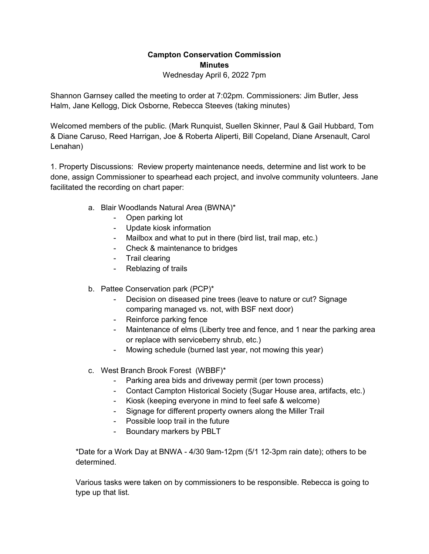## **Campton Conservation Commission Minutes**

Wednesday April 6, 2022 7pm

Shannon Garnsey called the meeting to order at 7:02pm. Commissioners: Jim Butler, Jess Halm, Jane Kellogg, Dick Osborne, Rebecca Steeves (taking minutes)

Welcomed members of the public. (Mark Runquist, Suellen Skinner, Paul & Gail Hubbard, Tom & Diane Caruso, Reed Harrigan, Joe & Roberta Aliperti, Bill Copeland, Diane Arsenault, Carol Lenahan)

1. Property Discussions: Review property maintenance needs, determine and list work to be done, assign Commissioner to spearhead each project, and involve community volunteers. Jane facilitated the recording on chart paper:

- a. Blair Woodlands Natural Area (BWNA)\*
	- Open parking lot
	- Update kiosk information
	- Mailbox and what to put in there (bird list, trail map, etc.)
	- Check & maintenance to bridges
	- Trail clearing
	- Reblazing of trails
- b. Pattee Conservation park (PCP)\*
	- Decision on diseased pine trees (leave to nature or cut? Signage comparing managed vs. not, with BSF next door)
	- Reinforce parking fence
	- Maintenance of elms (Liberty tree and fence, and 1 near the parking area or replace with serviceberry shrub, etc.)
	- Mowing schedule (burned last year, not mowing this year)
- c. West Branch Brook Forest (WBBF)\*
	- Parking area bids and driveway permit (per town process)
	- Contact Campton Historical Society (Sugar House area, artifacts, etc.)
	- Kiosk (keeping everyone in mind to feel safe & welcome)
	- Signage for different property owners along the Miller Trail
	- Possible loop trail in the future
	- Boundary markers by PBLT

\*Date for a Work Day at BNWA - 4/30 9am-12pm (5/1 12-3pm rain date); others to be determined.

Various tasks were taken on by commissioners to be responsible. Rebecca is going to type up that list.